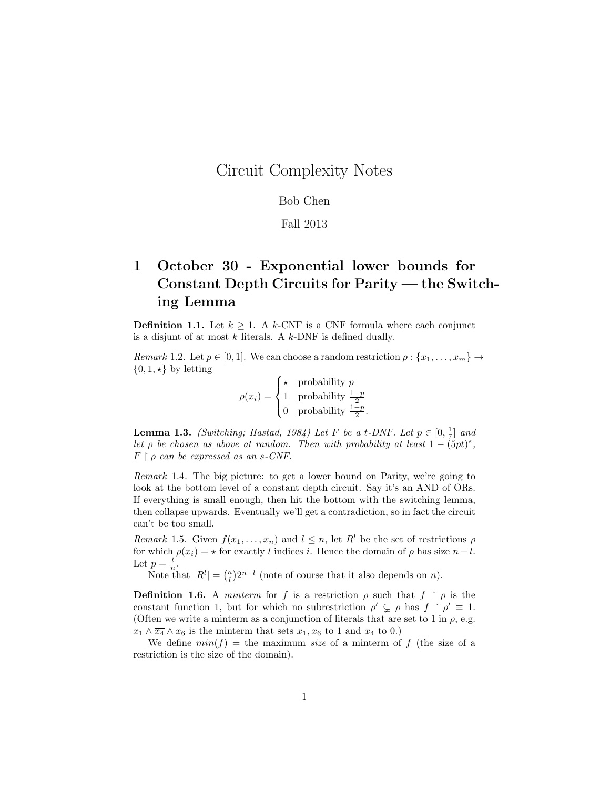## Circuit Complexity Notes

## Bob Chen

## Fall 2013

## 1 October 30 - Exponential lower bounds for Constant Depth Circuits for Parity — the Switching Lemma

**Definition 1.1.** Let  $k \geq 1$ . A k-CNF is a CNF formula where each conjunct is a disjunt of at most  $k$  literals. A  $k$ -DNF is defined dually.

Remark 1.2. Let  $p \in [0,1]$ . We can choose a random restriction  $\rho : \{x_1, \ldots, x_m\} \to$  $\{0, 1, \star\}$  by letting

$$
\rho(x_i) = \begin{cases} \star & \text{probability } p\\ 1 & \text{probability } \frac{1-p}{2}\\ 0 & \text{probability } \frac{1-p}{2}. \end{cases}
$$

**Lemma 1.3.** (Switching; Hastad, 1984) Let F be a t-DNF. Let  $p \in [0, \frac{1}{7}]$  and let  $\rho$  be chosen as above at random. Then with probability at least  $1 - (5pt)^s$ ,  $F \restriction \rho$  can be expressed as an s-CNF.

Remark 1.4. The big picture: to get a lower bound on Parity, we're going to look at the bottom level of a constant depth circuit. Say it's an AND of ORs. If everything is small enough, then hit the bottom with the switching lemma, then collapse upwards. Eventually we'll get a contradiction, so in fact the circuit can't be too small.

Remark 1.5. Given  $f(x_1, \ldots, x_n)$  and  $l \leq n$ , let  $R^l$  be the set of restrictions  $\rho$ for which  $\rho(x_i) = \star$  for exactly l indices i. Hence the domain of  $\rho$  has size  $n - l$ . Let  $p=\frac{l}{n}$ .

Note that  $|R^{l}| = \binom{n}{l} 2^{n-l}$  (note of course that it also depends on n).

**Definition 1.6.** A *minterm* for f is a restriction  $\rho$  such that  $f \restriction \rho$  is the constant function 1, but for which no subrestriction  $\rho' \subsetneq \rho$  has  $f \restriction \rho' \equiv 1$ . (Often we write a minterm as a conjunction of literals that are set to 1 in  $\rho$ , e.g.  $x_1 \wedge \overline{x_4} \wedge x_6$  is the minterm that sets  $x_1, x_6$  to 1 and  $x_4$  to 0.)

We define  $min(f)$  = the maximum size of a minterm of f (the size of a restriction is the size of the domain).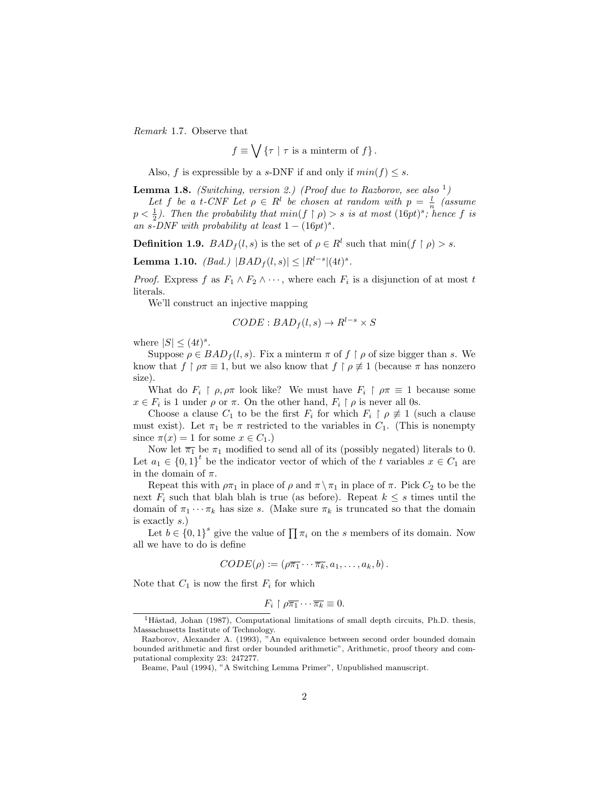Remark 1.7. Observe that

$$
f \equiv \bigvee \{\tau \mid \tau \text{ is a minterm of } f\}.
$$

Also, f is expressible by a s-DNF if and only if  $min(f) \leq s$ .

**Lemma 1.8.** (Switching, version 2.) (Proof due to Razborov, see also  $\frac{1}{2}$ )

Let f be a t-CNF Let  $\rho \in R^l$  be chosen at random with  $p = \frac{l}{n}$  (assume  $p < \frac{1}{2}$ ). Then the probability that  $min(f \mid \rho) > s$  is at most  $(16pt)^s$ ; hence f is an s-DNF with probability at least  $1 - (16pt)^s$ .

**Definition 1.9.**  $BAD_f(l,s)$  is the set of  $\rho \in R^l$  such that  $\min(f \restriction \rho) > s$ .

**Lemma 1.10.** (Bad.)  $|BAD_f(l,s)| \leq |R^{l-s}| (4t)^s$ .

*Proof.* Express f as  $F_1 \wedge F_2 \wedge \cdots$ , where each  $F_i$  is a disjunction of at most t literals.

We'll construct an injective mapping

$$
CODE : BAD_f(l, s) \to R^{l-s} \times S
$$

where  $|S| \leq (4t)^s$ .

Suppose  $\rho \in BAD_f(l, s)$ . Fix a minterm  $\pi$  of  $f \restriction \rho$  of size bigger than s. We know that  $f \restriction \rho \pi \equiv 1$ , but we also know that  $f \restriction \rho \not\equiv 1$  (because  $\pi$  has nonzero size).

What do  $F_i \restriction \rho, \rho \pi$  look like? We must have  $F_i \restriction \rho \pi \equiv 1$  because some  $x \in F_i$  is 1 under  $\rho$  or  $\pi$ . On the other hand,  $F_i \restriction \rho$  is never all 0s.

Choose a clause  $C_1$  to be the first  $F_i$  for which  $F_i \restriction \rho \neq 1$  (such a clause must exist). Let  $\pi_1$  be  $\pi$  restricted to the variables in  $C_1$ . (This is nonempty since  $\pi(x) = 1$  for some  $x \in C_1$ .)

Now let  $\overline{\pi_1}$  be  $\pi_1$  modified to send all of its (possibly negated) literals to 0. Let  $a_1 \in \{0,1\}^t$  be the indicator vector of which of the t variables  $x \in C_1$  are in the domain of  $\pi$ .

Repeat this with  $\rho \pi_1$  in place of  $\rho$  and  $\pi \setminus \pi_1$  in place of  $\pi$ . Pick  $C_2$  to be the next  $F_i$  such that blah blah is true (as before). Repeat  $k \leq s$  times until the domain of  $\pi_1 \cdots \pi_k$  has size s. (Make sure  $\pi_k$  is truncated so that the domain is exactly s.)

Let  $b \in \{0,1\}^s$  give the value of  $\prod \pi_i$  on the s members of its domain. Now all we have to do is define

$$
CODE(\rho) := (\rho \overline{\pi_1} \cdots \overline{\pi_k}, a_1, \ldots, a_k, b).
$$

Note that  $C_1$  is now the first  $F_i$  for which

$$
F_i\restriction \rho\overline{\pi_1}\cdots\overline{\pi_k}\equiv 0.
$$

 $1H$ åstad, Johan (1987), Computational limitations of small depth circuits, Ph.D. thesis, Massachusetts Institute of Technology.

Razborov, Alexander A. (1993), "An equivalence between second order bounded domain bounded arithmetic and first order bounded arithmetic", Arithmetic, proof theory and computational complexity 23: 247277.

Beame, Paul (1994), "A Switching Lemma Primer", Unpublished manuscript.